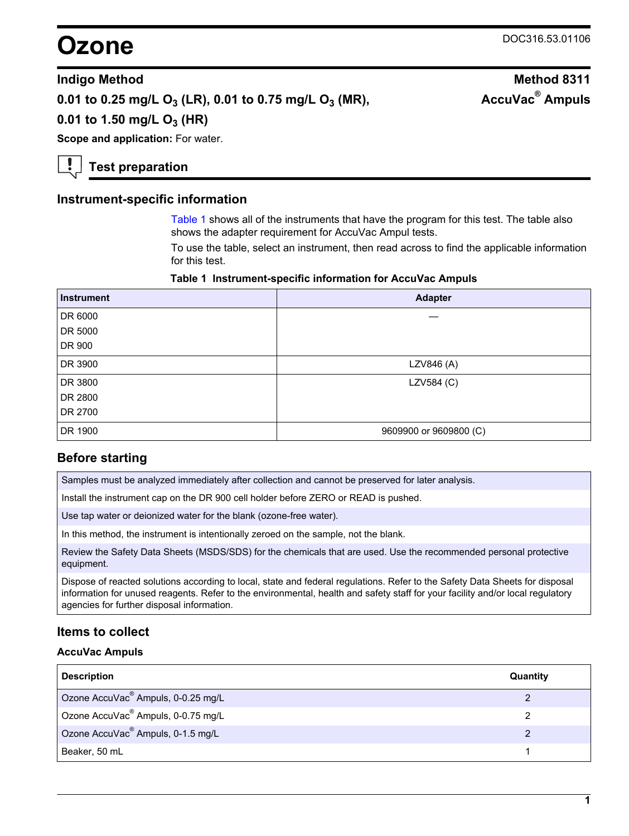# **Ozone** DOC316.53.01106

**AccuVac® Ampuls**

#### **Indigo Method Method 8311**

## **0.01 to 0.25 mg/L O3 (LR), 0.01 to 0.75 mg/L O3 (MR),**

**0.01 to 1.50 mg/L O3 (HR)**

**Scope and application: For water.** 

**Test preparation**

#### **Instrument-specific information**

[Table 1](#page-0-0) shows all of the instruments that have the program for this test. The table also shows the adapter requirement for AccuVac Ampul tests.

To use the table, select an instrument, then read across to find the applicable information for this test.

#### **Table 1 Instrument-specific information for AccuVac Ampuls**

<span id="page-0-1"></span><span id="page-0-0"></span>

| <b>Instrument</b> | <b>Adapter</b>         |
|-------------------|------------------------|
| DR 6000           |                        |
| DR 5000           |                        |
| DR 900            |                        |
| DR 3900           | LZV846 (A)             |
| DR 3800           | LZV584 (C)             |
| DR 2800           |                        |
| DR 2700           |                        |
| DR 1900           | 9609900 or 9609800 (C) |

### **Before starting**

Samples must be analyzed immediately after collection and cannot be preserved for later analysis.

Install the instrument cap on the DR 900 cell holder before ZERO or READ is pushed.

Use tap water or deionized water for the blank (ozone-free water).

In this method, the instrument is intentionally zeroed on the sample, not the blank.

Review the Safety Data Sheets (MSDS/SDS) for the chemicals that are used. Use the recommended personal protective equipment.

Dispose of reacted solutions according to local, state and federal regulations. Refer to the Safety Data Sheets for disposal information for unused reagents. Refer to the environmental, health and safety staff for your facility and/or local regulatory agencies for further disposal information.

### **Items to collect**

#### **AccuVac Ampuls**

| <b>Description</b>                             | Quantity |
|------------------------------------------------|----------|
| Ozone AccuVac <sup>®</sup> Ampuls, 0-0.25 mg/L |          |
| Ozone AccuVac <sup>®</sup> Ampuls, 0-0.75 mg/L |          |
| Ozone AccuVac <sup>®</sup> Ampuls, 0-1.5 mg/L  |          |
| Beaker, 50 mL                                  |          |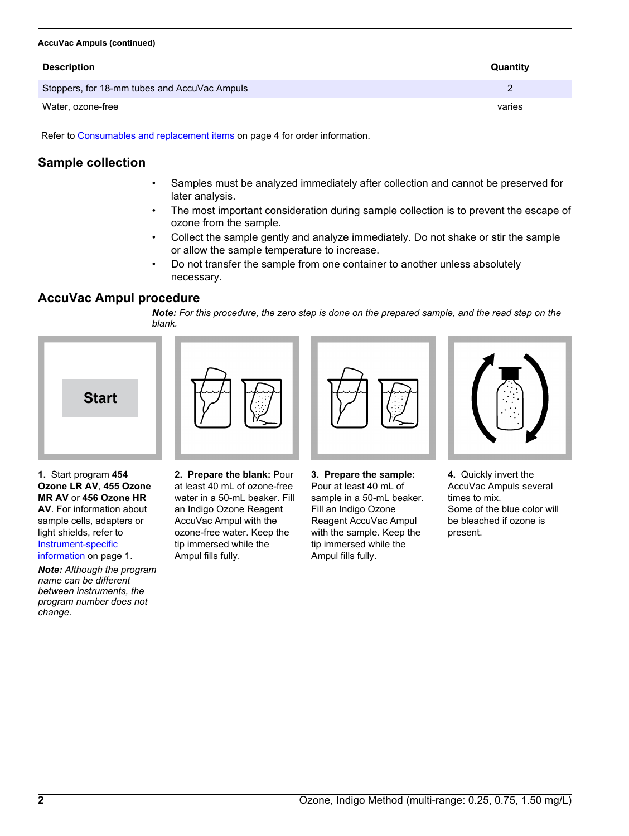#### **AccuVac Ampuls (continued)**

| <b>Description</b>                           | Quantity |
|----------------------------------------------|----------|
| Stoppers, for 18-mm tubes and AccuVac Ampuls |          |
| Water, ozone-free                            | varies   |

Refer to [Consumables and replacement items](#page-3-0) on page 4 for order information.

# **Sample collection**

- Samples must be analyzed immediately after collection and cannot be preserved for later analysis.
- The most important consideration during sample collection is to prevent the escape of ozone from the sample.
- Collect the sample gently and analyze immediately. Do not shake or stir the sample or allow the sample temperature to increase.
- Do not transfer the sample from one container to another unless absolutely necessary.

## **AccuVac Ampul procedure**

*Note: For this procedure, the zero step is done on the prepared sample, and the read step on the blank.*







**1.** Start program **454 Ozone LR AV**, **455 Ozone MR AV** or **456 Ozone HR AV**. For information about sample cells, adapters or light shields, refer to [Instrument-specific](#page-0-1) [information](#page-0-1) on page 1.

*Note: Although the program name can be different between instruments, the program number does not change.*

**2. Prepare the blank:** Pour at least 40 mL of ozone-free water in a 50-mL beaker. Fill an Indigo Ozone Reagent AccuVac Ampul with the ozone-free water. Keep the tip immersed while the Ampul fills fully.

**3. Prepare the sample:** Pour at least 40 mL of sample in a 50-mL beaker. Fill an Indigo Ozone Reagent AccuVac Ampul with the sample. Keep the tip immersed while the Ampul fills fully.



**4.** Quickly invert the AccuVac Ampuls several times to mix. Some of the blue color will be bleached if ozone is present.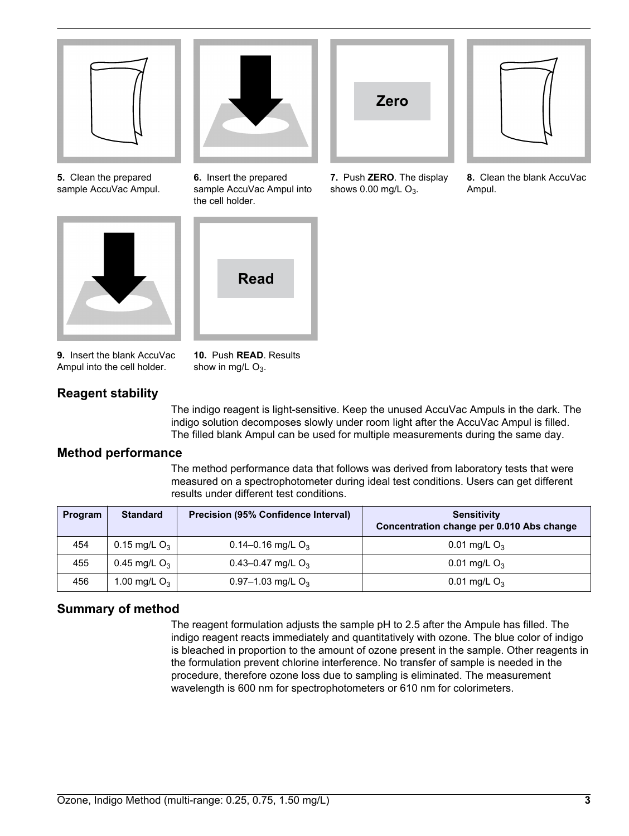![](_page_2_Picture_0.jpeg)

**5.** Clean the prepared sample AccuVac Ampul.

![](_page_2_Picture_2.jpeg)

![](_page_2_Picture_3.jpeg)

**6.** Insert the prepared sample AccuVac Ampul into the cell holder.

![](_page_2_Picture_5.jpeg)

**9.** Insert the blank AccuVac Ampul into the cell holder.

**10.** Push **READ**. Results show in mg/L  $O_3$ .

# **Reagent stability**

The indigo reagent is light-sensitive. Keep the unused AccuVac Ampuls in the dark. The indigo solution decomposes slowly under room light after the AccuVac Ampul is filled. The filled blank Ampul can be used for multiple measurements during the same day.

**Zero**

**7.** Push **ZERO**. The display shows  $0.00$  mg/L  $O_3$ .

# **Method performance**

The method performance data that follows was derived from laboratory tests that were measured on a spectrophotometer during ideal test conditions. Users can get different results under different test conditions.

| Program | <b>Standard</b> | <b>Precision (95% Confidence Interval)</b> | <b>Sensitivity</b><br>Concentration change per 0.010 Abs change |
|---------|-----------------|--------------------------------------------|-----------------------------------------------------------------|
| 454     | 0.15 mg/L $O_3$ | $0.14 - 0.16$ mg/L O <sub>3</sub>          | 0.01 mg/L $O_3$                                                 |
| 455     | 0.45 mg/L $O_3$ | 0.43-0.47 mg/L $O_3$                       | 0.01 mg/L $O_3$                                                 |
| 456     | 1.00 mg/L $O_3$ | 0.97-1.03 mg/L $O_3$                       | 0.01 mg/L $O_3$                                                 |

# **Summary of method**

The reagent formulation adjusts the sample pH to 2.5 after the Ampule has filled. The indigo reagent reacts immediately and quantitatively with ozone. The blue color of indigo is bleached in proportion to the amount of ozone present in the sample. Other reagents in the formulation prevent chlorine interference. No transfer of sample is needed in the procedure, therefore ozone loss due to sampling is eliminated. The measurement wavelength is 600 nm for spectrophotometers or 610 nm for colorimeters.

![](_page_2_Figure_15.jpeg)

**8.** Clean the blank AccuVac Ampul.